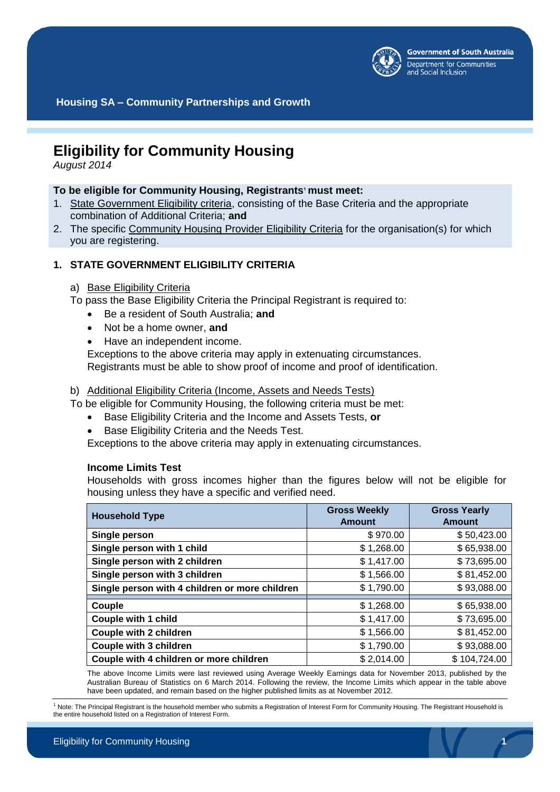

**Housing SA – Community Partnerships and Growth**

# **Eligibility for Community Housing**

*August 2014*

## **To be eligible for Community Housing, Registrants<sup>1</sup> must meet:**

- 1. State Government Eligibility criteria, consisting of the Base Criteria and the appropriate combination of Additional Criteria; **and**
- 2. The specific Community Housing Provider Eligibility Criteria for the organisation(s) for which you are registering.

# **1. STATE GOVERNMENT ELIGIBILITY CRITERIA**

## a) Base Eligibility Criteria

To pass the Base Eligibility Criteria the Principal Registrant is required to:

- Be a resident of South Australia; **and**
- Not be a home owner, **and**
- Have an independent income.

Exceptions to the above criteria may apply in extenuating circumstances. Registrants must be able to show proof of income and proof of identification.

#### b) Additional Eligibility Criteria (Income, Assets and Needs Tests)

To be eligible for Community Housing, the following criteria must be met:

- Base Eligibility Criteria and the Income and Assets Tests, **or**
- Base Eligibility Criteria and the Needs Test.

Exceptions to the above criteria may apply in extenuating circumstances.

#### **Income Limits Test**

Households with gross incomes higher than the figures below will not be eligible for housing unless they have a specific and verified need.

| <b>Household Type</b>                          | <b>Gross Weekly</b><br><b>Amount</b> | <b>Gross Yearly</b><br><b>Amount</b> |
|------------------------------------------------|--------------------------------------|--------------------------------------|
| Single person                                  | \$970.00                             | \$50,423.00                          |
| Single person with 1 child                     | \$1,268.00                           | \$65,938.00                          |
| Single person with 2 children                  | \$1,417.00                           | \$73,695.00                          |
| Single person with 3 children                  | \$1,566.00                           | \$81,452.00                          |
| Single person with 4 children or more children | \$1,790.00                           | \$93,088.00                          |
| Couple                                         | \$1,268.00                           | \$65,938.00                          |
| <b>Couple with 1 child</b>                     | \$1,417.00                           | \$73,695.00                          |
| <b>Couple with 2 children</b>                  | \$1,566.00                           | \$81,452.00                          |
| <b>Couple with 3 children</b>                  | \$1,790.00                           | \$93,088.00                          |
| Couple with 4 children or more children        | \$2,014.00                           | \$104,724.00                         |

The above Income Limits were last reviewed using Average Weekly Earnings data for November 2013, published by the Australian Bureau of Statistics on 6 March 2014. Following the review, the Income Limits which appear in the table above have been updated, and remain based on the higher published limits as at November 2012.

 $1$  Note: The Principal Registrant is the household member who submits a Registration of Interest Form for Community Housing. The Registrant Household is the entire household listed on a Registration of Interest Form.